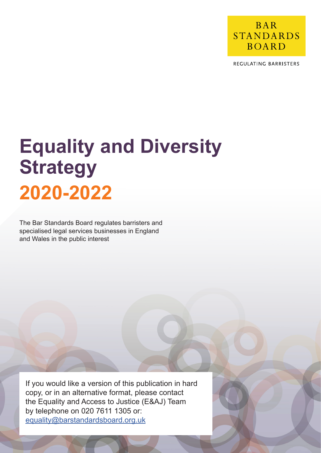

REGULATING BARRISTERS

# **Equality and Diversity Strategy 2020-2022**

The Bar Standards Board regulates barristers and specialised legal services businesses in England and Wales in the public interest

If you would like a version of this publication in hard copy, or in an alternative format, please contact the Equality and Access to Justice (E&AJ) Team by telephone on 020 7611 1305 or: equality@barstandardsboard.org.uk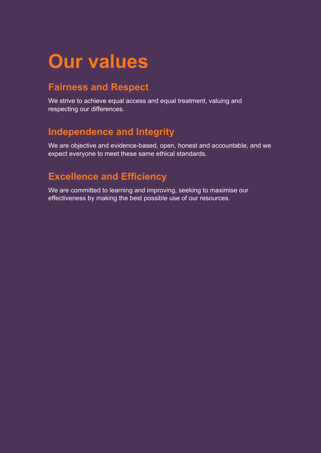## **Our values**

## **Fairness and Respect**

We strive to achieve equal access and equal treatment, valuing and respecting our differences.

## **Independence and Integrity**

We are objective and evidence-based, open, honest and accountable, and we expect everyone to meet these same ethical standards.

## **Excellence and Efficiency**

We are committed to learning and improving, seeking to maximise our effectiveness by making the best possible use of our resources.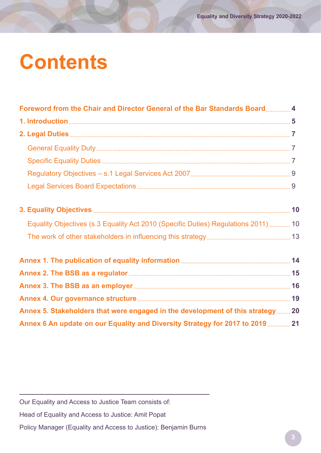# **Contents**

| Foreword from the Chair and Director General of the Bar Standards Board 4          |  |
|------------------------------------------------------------------------------------|--|
|                                                                                    |  |
|                                                                                    |  |
|                                                                                    |  |
|                                                                                    |  |
|                                                                                    |  |
|                                                                                    |  |
|                                                                                    |  |
| Equality Objectives (s.3 Equality Act 2010 (Specific Duties) Regulations 2011)  10 |  |
|                                                                                    |  |
|                                                                                    |  |
|                                                                                    |  |
|                                                                                    |  |
|                                                                                    |  |
| Annex 5. Stakeholders that were engaged in the development of this strategy 20     |  |
| Annex 6 An update on our Equality and Diversity Strategy for 2017 to 2019  21      |  |

Our Equality and Access to Justice Team consists of:

Head of Equality and Access to Justice: Amit Popat

Policy Manager (Equality and Access to Justice): Benjamin Burns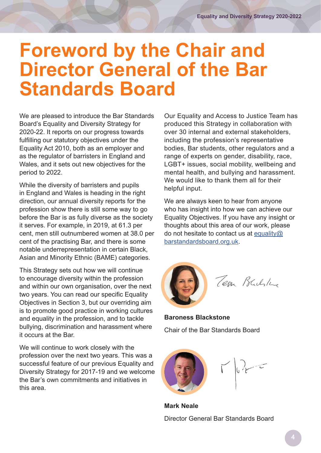## <span id="page-3-0"></span>**Foreword by the Chair and Director General of the Bar Standards Board**

We are pleased to introduce the Bar Standards Board's Equality and Diversity Strategy for 2020-22. It reports on our progress towards fulfilling our statutory objectives under the Equality Act 2010, both as an employer and as the regulator of barristers in England and Wales, and it sets out new objectives for the period to 2022.

While the diversity of barristers and pupils in England and Wales is heading in the right direction, our annual diversity reports for the profession show there is still some way to go before the Bar is as fully diverse as the society it serves. For example, in 2019, at 61.3 per cent, men still outnumbered women at 38.0 per cent of the practising Bar, and there is some notable underrepresentation in certain Black, Asian and Minority Ethnic (BAME) categories.

This Strategy sets out how we will continue to encourage diversity within the profession and within our own organisation, over the next two years. You can read our specific Equality Objectives in Section 3, but our overriding aim is to promote good practice in working cultures and equality in the profession, and to tackle bullying, discrimination and harassment where it occurs at the Bar.

We will continue to work closely with the profession over the next two years. This was a successful feature of our previous Equality and Diversity Strategy for 2017-19 and we welcome the Bar's own commitments and initiatives in this area.

Our Equality and Access to Justice Team has produced this Strategy in collaboration with over 30 internal and external stakeholders, including the profession's representative bodies, Bar students, other regulators and a range of experts on gender, disability, race, LGBT+ issues, social mobility, wellbeing and mental health, and bullying and harassment. We would like to thank them all for their helpful input.

We are always keen to hear from anyone who has insight into how we can achieve our Equality Objectives. If you have any insight or thoughts about this area of our work, please do not hesitate to contact us at [equality@](mailto:equality%40barstandardsboard.org.uk?subject=) [barstandardsboard.org.uk](mailto:equality%40barstandardsboard.org.uk?subject=).



**Baroness Blackstone** Chair of the Bar Standards Board



**Mark Neale** Director General Bar Standards Board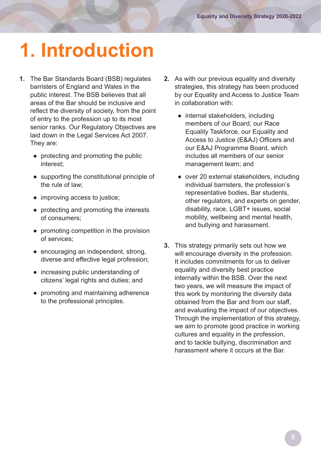# <span id="page-4-0"></span>**1. Introduction**

- **1.** The Bar Standards Board (BSB) regulates barristers of England and Wales in the public interest. The BSB believes that all areas of the Bar should be inclusive and reflect the diversity of society, from the point of entry to the profession up to its most senior ranks. Our Regulatory Objectives are laid down in the Legal Services Act 2007. They are:
	- protecting and promoting the public interest;
	- supporting the constitutional principle of the rule of law;
	- improving access to justice;
	- protecting and promoting the interests of consumers;
	- promoting competition in the provision of services;
	- encouraging an independent, strong, diverse and effective legal profession;
	- increasing public understanding of citizens' legal rights and duties; and
	- promoting and maintaining adherence to the professional principles.
- **2.** As with our previous equality and diversity strategies, this strategy has been produced by our Equality and Access to Justice Team in collaboration with:
	- internal stakeholders, including members of our Board, our Race Equality Taskforce, our Equality and Access to Justice (E&AJ) Officers and our E&AJ Programme Board, which includes all members of our senior management team; and
	- over 20 external stakeholders, including individual barristers, the profession's representative bodies, Bar students, other regulators, and experts on gender, disability, race, LGBT+ issues, social mobility, wellbeing and mental health, and bullying and harassment.
- **3.** This strategy primarily sets out how we will encourage diversity in the profession. It includes commitments for us to deliver equality and diversity best practice internally within the BSB. Over the next two years, we will measure the impact of this work by monitoring the diversity data obtained from the Bar and from our staff, and evaluating the impact of our objectives. Through the implementation of this strategy, we aim to promote good practice in working cultures and equality in the profession, and to tackle bullying, discrimination and harassment where it occurs at the Bar.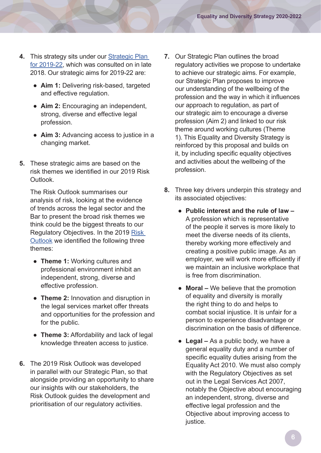- **4.** This strategy sits under our [Strategic Plan](https://www.barstandardsboard.org.uk/uploads/assets/4b599307-da48-4e4e-a8e2ff3bf83934bd/bsbstrategicplan2019-22.pdf)  [for 2019-22](https://www.barstandardsboard.org.uk/uploads/assets/4b599307-da48-4e4e-a8e2ff3bf83934bd/bsbstrategicplan2019-22.pdf), which was consulted on in late 2018. Our strategic aims for 2019-22 are:
	- **Aim 1:** Delivering risk-based, targeted and effective regulation.
	- **Aim 2:** Encouraging an independent, strong, diverse and effective legal profession.
	- **Aim 3:** Advancing access to justice in a changing market.
- **5.** These strategic aims are based on the risk themes we identified in our 2019 Risk Outlook.

 The Risk Outlook summarises our analysis of risk, looking at the evidence of trends across the legal sector and the Bar to present the broad risk themes we think could be the biggest threats to our Regulatory Objectives. In the 2019 [Risk](https://www.barstandardsboard.org.uk/uploads/assets/6bb68426-03bf-4e97-86c6cb4780c76743/bsbriskoutlook2019.pdf)  [Outlook](https://www.barstandardsboard.org.uk/uploads/assets/6bb68426-03bf-4e97-86c6cb4780c76743/bsbriskoutlook2019.pdf) we identified the following three themes:

- **Theme 1:** Working cultures and professional environment inhibit an independent, strong, diverse and effective profession.
- **Theme 2:** Innovation and disruption in the legal services market offer threats and opportunities for the profession and for the public.
- **Theme 3:** Affordability and lack of legal knowledge threaten access to justice.
- **6.** The 2019 Risk Outlook was developed in parallel with our Strategic Plan, so that alongside providing an opportunity to share our insights with our stakeholders, the Risk Outlook guides the development and prioritisation of our regulatory activities.
- **7.** Our Strategic Plan outlines the broad regulatory activities we propose to undertake to achieve our strategic aims. For example, our Strategic Plan proposes to improve our understanding of the wellbeing of the profession and the way in which it influences our approach to regulation, as part of our strategic aim to encourage a diverse profession (Aim 2) and linked to our risk theme around working cultures (Theme 1). This Equality and Diversity Strategy is reinforced by this proposal and builds on it, by including specific equality objectives and activities about the wellbeing of the profession.
- **8.** Three key drivers underpin this strategy and its associated objectives:
	- **Public interest and the rule of law –** A profession which is representative of the people it serves is more likely to meet the diverse needs of its clients, thereby working more effectively and creating a positive public image. As an employer, we will work more efficiently if we maintain an inclusive workplace that is free from discrimination.
	- **Moral** We believe that the promotion of equality and diversity is morally the right thing to do and helps to combat social injustice. It is unfair for a person to experience disadvantage or discrimination on the basis of difference.
	- **Legal** As a public body, we have a general equality duty and a number of specific equality duties arising from the Equality Act 2010. We must also comply with the Regulatory Objectives as set out in the Legal Services Act 2007, notably the Objective about encouraging an independent, strong, diverse and effective legal profession and the Objective about improving access to justice.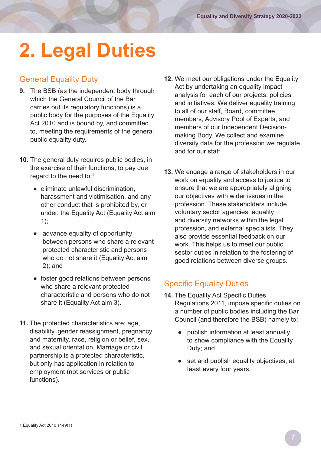# <span id="page-6-0"></span>**2. Legal Duties**

### General Equality Duty

- **9.** The BSB (as the independent body through which the General Council of the Bar carries out its regulatory functions) is a public body for the purposes of the Equality Act 2010 and is bound by, and committed to, meeting the requirements of the general public equality duty.
- **10.** The general duty requires public bodies, in the exercise of their functions, to pay due regard to the need to:<sup>1</sup>
	- eliminate unlawful discrimination, harassment and victimisation, and any other conduct that is prohibited by, or under, the Equality Act (Equality Act aim 1);
	- advance equality of opportunity between persons who share a relevant protected characteristic and persons who do not share it (Equality Act aim 2); and
	- foster good relations between persons who share a relevant protected characteristic and persons who do not share it (Equality Act aim 3).
- **11.** The protected characteristics are: age, disability, gender reassignment, pregnancy and maternity, race, religion or belief, sex, and sexual orientation. Marriage or civil partnership is a protected characteristic, but only has application in relation to employment (not services or public functions).
- **12.** We meet our obligations under the Equality Act by undertaking an equality impact analysis for each of our projects, policies and initiatives. We deliver equality training to all of our staff, Board, committee members, Advisory Pool of Experts, and members of our Independent Decisionmaking Body. We collect and examine diversity data for the profession we regulate and for our staff.
- **13.** We engage a range of stakeholders in our work on equality and access to justice to ensure that we are appropriately aligning our objectives with wider issues in the profession. These stakeholders include voluntary sector agencies, equality and diversity networks within the legal profession, and external specialists. They also provide essential feedback on our work. This helps us to meet our public sector duties in relation to the fostering of good relations between diverse groups.

## Specific Equality Duties

- **14.** The Equality Act Specific Duties Regulations 2011, impose specific duties on a number of public bodies including the Bar Council (and therefore the BSB) namely to:
	- publish information at least annually to show compliance with the Equality Duty; and
	- set and publish equality objectives, at least every four years.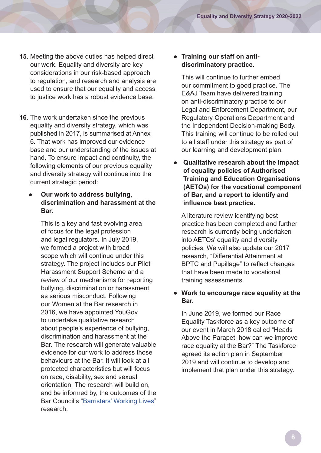- **15.** Meeting the above duties has helped direct our work. Equality and diversity are key considerations in our risk-based approach to regulation, and research and analysis are used to ensure that our equality and access to justice work has a robust evidence base.
- **16.** The work undertaken since the previous equality and diversity strategy, which was published in 2017, is summarised at Annex 6. That work has improved our evidence base and our understanding of the issues at hand. To ensure impact and continuity, the following elements of our previous equality and diversity strategy will continue into the current strategic period:

#### **Our work to address bullying, discrimination and harassment at the Bar.**

 This is a key and fast evolving area of focus for the legal profession and legal regulators. In July 2019, we formed a project with broad scope which will continue under this strategy. The project includes our Pilot Harassment Support Scheme and a review of our mechanisms for reporting bullying, discrimination or harassment as serious misconduct. Following our Women at the Bar research in 2016, we have appointed YouGov to undertake qualitative research about people's experience of bullying, discrimination and harassment at the Bar. The research will generate valuable evidence for our work to address those behaviours at the Bar. It will look at all protected characteristics but will focus on race, disability, sex and sexual orientation. The research will build on, and be informed by, the outcomes of the Bar Council's "[Barristers' Working Lives"](https://www.barcouncil.org.uk/resource/working-lives.html) research.

#### ● **Training our staff on antidiscriminatory practice.**

 This will continue to further embed our commitment to good practice. The E&AJ Team have delivered training on anti-discriminatory practice to our Legal and Enforcement Department, our Regulatory Operations Department and the Independent Decision-making Body. This training will continue to be rolled out to all staff under this strategy as part of our learning and development plan.

● **Qualitative research about the impact of equality policies of Authorised Training and Education Organisations (AETOs) for the vocational component of Bar, and a report to identify and influence best practice.** 

 A literature review identifying best practice has been completed and further research is currently being undertaken into AETOs' equality and diversity policies. We will also update our 2017 research, "Differential Attainment at BPTC and Pupillage" to reflect changes that have been made to vocational training assessments.

#### ● **Work to encourage race equality at the Bar.**

 In June 2019, we formed our Race Equality Taskforce as a key outcome of our event in March 2018 called "Heads Above the Parapet: how can we improve race equality at the Bar?" The Taskforce agreed its action plan in September 2019 and will continue to develop and implement that plan under this strategy.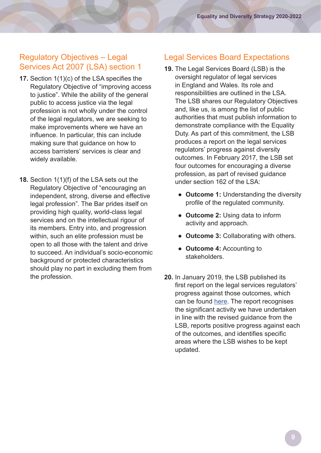### <span id="page-8-0"></span>Regulatory Objectives – Legal Services Act 2007 (LSA) section 1

- **17.** Section 1(1)(c) of the LSA specifies the Regulatory Objective of "improving access to justice". While the ability of the general public to access justice via the legal profession is not wholly under the control of the legal regulators, we are seeking to make improvements where we have an influence. In particular, this can include making sure that guidance on how to access barristers' services is clear and widely available.
- **18.** Section 1(1)(f) of the LSA sets out the Regulatory Objective of "encouraging an independent, strong, diverse and effective legal profession". The Bar prides itself on providing high quality, world-class legal services and on the intellectual rigour of its members. Entry into, and progression within, such an elite profession must be open to all those with the talent and drive to succeed. An individual's socio-economic background or protected characteristics should play no part in excluding them from the profession.

## Legal Services Board Expectations

- **19.** The Legal Services Board (LSB) is the oversight regulator of legal services in England and Wales. Its role and responsibilities are outlined in the LSA. The LSB shares our Regulatory Objectives and, like us, is among the list of public authorities that must publish information to demonstrate compliance with the Equality Duty. As part of this commitment, the LSB produces a report on the legal services regulators' progress against diversity outcomes. In February 2017, the LSB set four outcomes for encouraging a diverse profession, as part of revised guidance under section 162 of the LSA:
	- **Outcome 1:** Understanding the diversity profile of the regulated community.
	- **Outcome 2:** Using data to inform activity and approach.
	- **Outcome 3:** Collaborating with others.
	- **Outcome 4:** Accounting to stakeholders.
- **20.** In January 2019, the LSB published its first report on the legal services regulators' progress against those outcomes, which can be found [here](https://www.legalservicesboard.org.uk/Projects/Diversity_Of_Legal_Profession/pdf/20190122_Diversity_Summary_report_legal_services_regulators_progress.pdf). The report recognises the significant activity we have undertaken in line with the revised guidance from the LSB, reports positive progress against each of the outcomes, and identifies specific areas where the LSB wishes to be kept updated.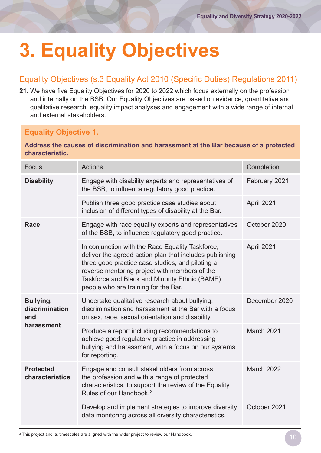# <span id="page-9-0"></span>**3. Equality Objectives**

## Equality Objectives (s.3 Equality Act 2010 (Specific Duties) Regulations 2011)

**21.** We have five Equality Objectives for 2020 to 2022 which focus externally on the profession and internally on the BSB. Our Equality Objectives are based on evidence, quantitative and qualitative research, equality impact analyses and engagement with a wide range of internal and external stakeholders.

### **Equality Objective 1.**

#### **Address the causes of discrimination and harassment at the Bar because of a protected characteristic.**

| Focus                               | <b>Actions</b>                                                                                                                                                                                                                                                                                             | Completion        |
|-------------------------------------|------------------------------------------------------------------------------------------------------------------------------------------------------------------------------------------------------------------------------------------------------------------------------------------------------------|-------------------|
| <b>Disability</b>                   | Engage with disability experts and representatives of<br>the BSB, to influence regulatory good practice.                                                                                                                                                                                                   | February 2021     |
|                                     | Publish three good practice case studies about<br>inclusion of different types of disability at the Bar.                                                                                                                                                                                                   | April 2021        |
| <b>Race</b>                         | Engage with race equality experts and representatives<br>of the BSB, to influence regulatory good practice.                                                                                                                                                                                                | October 2020      |
|                                     | In conjunction with the Race Equality Taskforce,<br>deliver the agreed action plan that includes publishing<br>three good practice case studies, and piloting a<br>reverse mentoring project with members of the<br>Taskforce and Black and Minority Ethnic (BAME)<br>people who are training for the Bar. | April 2021        |
| Bullying,<br>discrimination<br>and  | Undertake qualitative research about bullying,<br>discrimination and harassment at the Bar with a focus<br>on sex, race, sexual orientation and disability.                                                                                                                                                | December 2020     |
| harassment                          | Produce a report including recommendations to<br>achieve good regulatory practice in addressing<br>bullying and harassment, with a focus on our systems<br>for reporting.                                                                                                                                  | <b>March 2021</b> |
| <b>Protected</b><br>characteristics | Engage and consult stakeholders from across<br>the profession and with a range of protected<br>characteristics, to support the review of the Equality<br>Rules of our Handbook. <sup>2</sup>                                                                                                               | <b>March 2022</b> |
|                                     | Develop and implement strategies to improve diversity<br>data monitoring across all diversity characteristics.                                                                                                                                                                                             | October 2021      |

2 This project and its timescales are aligned with the wider project to review our Handbook.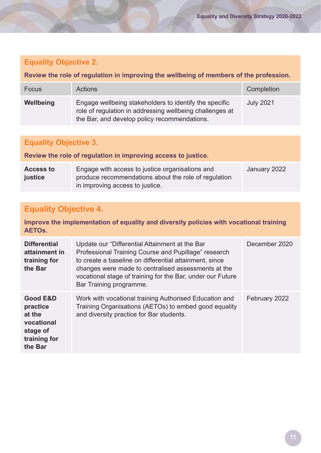#### **Equality Objective 2.**

#### **Review the role of regulation in improving the wellbeing of members of the profession.**

| Focus     | <b>Actions</b>                                                                                                                                                     | Completion       |
|-----------|--------------------------------------------------------------------------------------------------------------------------------------------------------------------|------------------|
| Wellbeing | Engage wellbeing stakeholders to identify the specific<br>role of regulation in addressing wellbeing challenges at<br>the Bar, and develop policy recommendations. | <b>July 2021</b> |

### **Equality Objective 3.**

**Review the role of regulation in improving access to justice.**

| <b>Access to</b> | Engage with access to justice organisations and      | January 2022 |
|------------------|------------------------------------------------------|--------------|
| justice          | produce recommendations about the role of regulation |              |
|                  | in improving access to justice.                      |              |

## **Equality Objective 4.**

#### **Improve the implementation of equality and diversity policies with vocational training AETOs.**

| <b>Differential</b><br>attainment in<br>training for<br>the Bar                                | Update our "Differential Attainment at the Bar<br>Professional Training Course and Pupillage" research<br>to create a baseline on differential attainment, since<br>changes were made to centralised assessments at the<br>vocational stage of training for the Bar, under our Future<br>Bar Training programme. | December 2020 |
|------------------------------------------------------------------------------------------------|------------------------------------------------------------------------------------------------------------------------------------------------------------------------------------------------------------------------------------------------------------------------------------------------------------------|---------------|
| <b>Good E&amp;D</b><br>practice<br>at the<br>vocational<br>stage of<br>training for<br>the Bar | Work with vocational training Authorised Education and<br>Training Organisations (AETOs) to embed good equality<br>and diversity practice for Bar students.                                                                                                                                                      | February 2022 |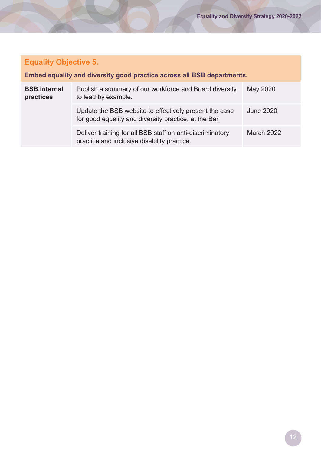## **Equality Objective 5.**

#### **Embed equality and diversity good practice across all BSB departments.**

| <b>BSB</b> internal<br>practices | Publish a summary of our workforce and Board diversity,<br>to lead by example.                                  | May 2020   |
|----------------------------------|-----------------------------------------------------------------------------------------------------------------|------------|
|                                  | Update the BSB website to effectively present the case<br>for good equality and diversity practice, at the Bar. | June 2020  |
|                                  | Deliver training for all BSB staff on anti-discriminatory<br>practice and inclusive disability practice.        | March 2022 |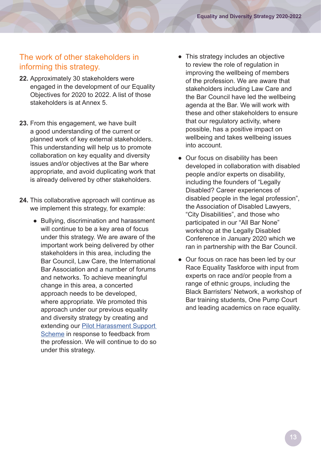#### <span id="page-12-0"></span>The work of other stakeholders in informing this strategy.

- **22.** Approximately 30 stakeholders were engaged in the development of our Equality Objectives for 2020 to 2022. A list of those stakeholders is at Annex 5.
- **23.** From this engagement, we have built a good understanding of the current or planned work of key external stakeholders. This understanding will help us to promote collaboration on key equality and diversity issues and/or objectives at the Bar where appropriate, and avoid duplicating work that is already delivered by other stakeholders.
- **24.** This collaborative approach will continue as we implement this strategy, for example:
	- Bullying, discrimination and harassment will continue to be a key area of focus under this strategy. We are aware of the important work being delivered by other stakeholders in this area, including the Bar Council, Law Care, the International Bar Association and a number of forums and networks. To achieve meaningful change in this area, a concerted approach needs to be developed, where appropriate. We promoted this approach under our previous equality and diversity strategy by creating and extending our [Pilot Harassment Support](https://www.barstandardsboard.org.uk/uploads/assets/dbbdd80a-4686-4a1a-922a3c3fc8a11f19/Pilot-Harassment-Support-Schemes-Waivers.pdf)  [Scheme](https://www.barstandardsboard.org.uk/uploads/assets/dbbdd80a-4686-4a1a-922a3c3fc8a11f19/Pilot-Harassment-Support-Schemes-Waivers.pdf) in response to feedback from the profession. We will continue to do so under this strategy.
- This strategy includes an objective to review the role of regulation in improving the wellbeing of members of the profession. We are aware that stakeholders including Law Care and the Bar Council have led the wellbeing agenda at the Bar. We will work with these and other stakeholders to ensure that our regulatory activity, where possible, has a positive impact on wellbeing and takes wellbeing issues into account.
- Our focus on disability has been developed in collaboration with disabled people and/or experts on disability, including the founders of "Legally Disabled? Career experiences of disabled people in the legal profession", the Association of Disabled Lawyers, "City Disabilities", and those who participated in our "All Bar None" workshop at the Legally Disabled Conference in January 2020 which we ran in partnership with the Bar Council.
- Our focus on race has been led by our Race Equality Taskforce with input from experts on race and/or people from a range of ethnic groups, including the Black Barristers' Network, a workshop of Bar training students, One Pump Court and leading academics on race equality.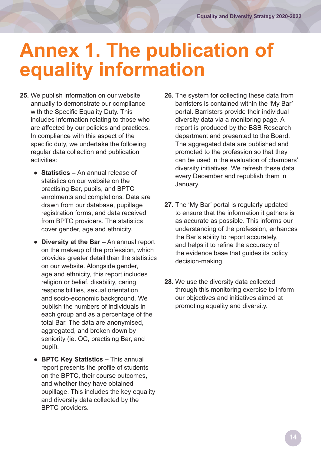## <span id="page-13-0"></span>**Annex 1. The publication of equality information**

- **25.** We publish information on our website annually to demonstrate our compliance with the Specific Equality Duty. This includes information relating to those who are affected by our policies and practices. In compliance with this aspect of the specific duty, we undertake the following regular data collection and publication activities:
	- **Statistics** An annual release of statistics on our website on the practising Bar, pupils, and BPTC enrolments and completions. Data are drawn from our database, pupillage registration forms, and data received from BPTC providers. The statistics cover gender, age and ethnicity.
	- **Diversity at the Bar –** An annual report on the makeup of the profession, which provides greater detail than the statistics on our website. Alongside gender, age and ethnicity, this report includes religion or belief, disability, caring responsibilities, sexual orientation and socio-economic background. We publish the numbers of individuals in each group and as a percentage of the total Bar. The data are anonymised, aggregated, and broken down by seniority (ie. QC, practising Bar, and pupil).
	- **BPTC Key Statistics –** This annual report presents the profile of students on the BPTC, their course outcomes, and whether they have obtained pupillage. This includes the key equality and diversity data collected by the BPTC providers.
- **26.** The system for collecting these data from barristers is contained within the 'My Bar' portal. Barristers provide their individual diversity data via a monitoring page. A report is produced by the BSB Research department and presented to the Board. The aggregated data are published and promoted to the profession so that they can be used in the evaluation of chambers' diversity initiatives. We refresh these data every December and republish them in January.
- **27.** The 'My Bar' portal is regularly updated to ensure that the information it gathers is as accurate as possible. This informs our understanding of the profession, enhances the Bar's ability to report accurately, and helps it to refine the accuracy of the evidence base that guides its policy decision-making.
- **28.** We use the diversity data collected through this monitoring exercise to inform our objectives and initiatives aimed at promoting equality and diversity.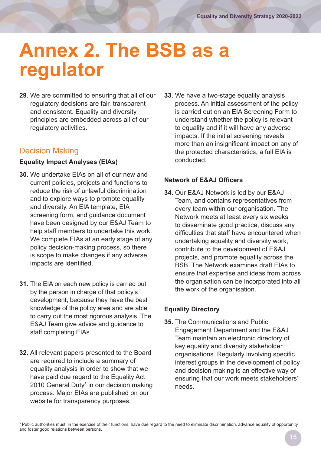## <span id="page-14-0"></span>**Annex 2. The BSB as a regulator**

**29.** We are committed to ensuring that all of our regulatory decisions are fair, transparent and consistent. Equality and diversity principles are embedded across all of our regulatory activities.

### Decision Making

#### **Equality Impact Analyses (EIAs)**

- **30.** We undertake EIAs on all of our new and current policies, projects and functions to reduce the risk of unlawful discrimination and to explore ways to promote equality and diversity. An EIA template, EIA screening form, and guidance document have been designed by our E&AJ Team to help staff members to undertake this work. We complete EIAs at an early stage of any policy decision-making process, so there is scope to make changes if any adverse impacts are identified.
- **31.** The EIA on each new policy is carried out by the person in charge of that policy's development, because they have the best knowledge of the policy area and are able to carry out the most rigorous analysis. The E&AJ Team give advice and guidance to staff completing EIAs.
- **32.** All relevant papers presented to the Board are required to include a summary of equality analysis in order to show that we have paid due regard to the Equality Act 2010 General Duty<sup>3</sup> in our decision making process. Major EIAs are published on our website for transparency purposes.

**33.** We have a two-stage equality analysis process. An initial assessment of the policy is carried out on an EIA Screening Form to understand whether the policy is relevant to equality and if it will have any adverse impacts. If the initial screening reveals more than an insignificant impact on any of the protected characteristics, a full EIA is conducted.

#### **Network of E&AJ Officers**

**34.** Our E&AJ Network is led by our E&AJ Team, and contains representatives from every team within our organisation. The Network meets at least every six weeks to disseminate good practice, discuss any difficulties that staff have encountered when undertaking equality and diversity work, contribute to the development of E&AJ projects, and promote equality across the BSB. The Network examines draft EIAs to ensure that expertise and ideas from across the organisation can be incorporated into all the work of the organisation.

#### **Equality Directory**

**35.** The Communications and Public Engagement Department and the E&AJ Team maintain an electronic directory of key equality and diversity stakeholder organisations. Regularly involving specific interest groups in the development of policy and decision making is an effective way of ensuring that our work meets stakeholders' needs.

<sup>&</sup>lt;sup>3</sup> Public authorities must, in the exercise of their functions, have due regard to the need to eliminate discrimination, advance equality of opportunity and foster good relations between persons.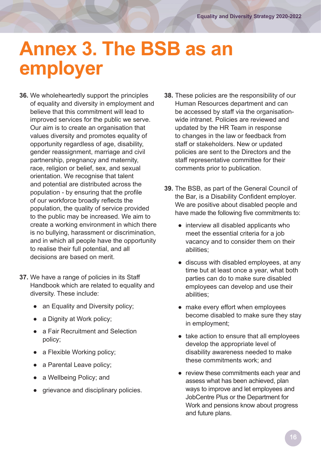## <span id="page-15-0"></span>**Annex 3. The BSB as an employer**

- **36.** We wholeheartedly support the principles of equality and diversity in employment and believe that this commitment will lead to improved services for the public we serve. Our aim is to create an organisation that values diversity and promotes equality of opportunity regardless of age, disability, gender reassignment, marriage and civil partnership, pregnancy and maternity, race, religion or belief, sex, and sexual orientation. We recognise that talent and potential are distributed across the population - by ensuring that the profile of our workforce broadly reflects the population, the quality of service provided to the public may be increased. We aim to create a working environment in which there is no bullying, harassment or discrimination, and in which all people have the opportunity to realise their full potential, and all decisions are based on merit.
- **37.** We have a range of policies in its Staff Handbook which are related to equality and diversity. These include:
	- an Equality and Diversity policy;
	- a Dignity at Work policy;
	- a Fair Recruitment and Selection policy;
	- a Flexible Working policy;
	- a Parental Leave policy;
	- a Wellbeing Policy; and
	- grievance and disciplinary policies.
- **38.** These policies are the responsibility of our Human Resources department and can be accessed by staff via the organisationwide intranet. Policies are reviewed and updated by the HR Team in response to changes in the law or feedback from staff or stakeholders. New or updated policies are sent to the Directors and the staff representative committee for their comments prior to publication.
- **39.** The BSB, as part of the General Council of the Bar, is a Disability Confident employer. We are positive about disabled people and have made the following five commitments to:
	- interview all disabled applicants who meet the essential criteria for a job vacancy and to consider them on their abilities;
	- discuss with disabled employees, at any time but at least once a year, what both parties can do to make sure disabled employees can develop and use their abilities;
	- make every effort when employees become disabled to make sure they stay in employment;
	- take action to ensure that all employees develop the appropriate level of disability awareness needed to make these commitments work; and
	- review these commitments each year and assess what has been achieved, plan ways to improve and let employees and JobCentre Plus or the Department for Work and pensions know about progress and future plans.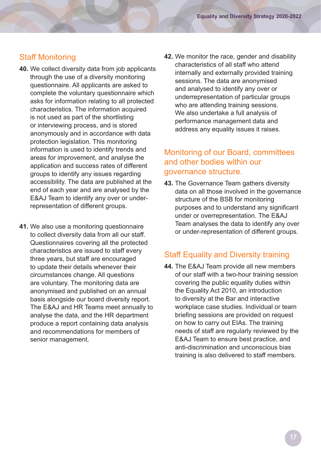#### Staff Monitoring

- **40.** We collect diversity data from job applicants through the use of a diversity monitoring questionnaire. All applicants are asked to complete the voluntary questionnaire which asks for information relating to all protected characteristics. The information acquired is not used as part of the shortlisting or interviewing process, and is stored anonymously and in accordance with data protection legislation. This monitoring information is used to identify trends and areas for improvement, and analyse the application and success rates of different groups to identify any issues regarding accessibility. The data are published at the end of each year and are analysed by the E&AJ Team to identify any over or underrepresentation of different groups.
- **41.** We also use a monitoring questionnaire to collect diversity data from all our staff. Questionnaires covering all the protected characteristics are issued to staff every three years, but staff are encouraged to update their details whenever their circumstances change. All questions are voluntary. The monitoring data are anonymised and published on an annual basis alongside our board diversity report. The E&AJ and HR Teams meet annually to analyse the data, and the HR department produce a report containing data analysis and recommendations for members of senior management.

**42.** We monitor the race, gender and disability characteristics of all staff who attend internally and externally provided training sessions. The data are anonymised and analysed to identify any over or underrepresentation of particular groups who are attending training sessions. We also undertake a full analysis of performance management data and address any equality issues it raises.

#### Monitoring of our Board, committees and other bodies within our governance structure.

**43.** The Governance Team gathers diversity data on all those involved in the governance structure of the BSB for monitoring purposes and to understand any significant under or overrepresentation. The E&AJ Team analyses the data to identify any over or under-representation of different groups.

#### Staff Equality and Diversity training

**44.** The E&AJ Team provide all new members of our staff with a two-hour training session covering the public equality duties within the Equality Act 2010, an introduction to diversity at the Bar and interactive workplace case studies. Individual or team briefing sessions are provided on request on how to carry out EIAs. The training needs of staff are regularly reviewed by the E&AJ Team to ensure best practice, and anti-discrimination and unconscious bias training is also delivered to staff members.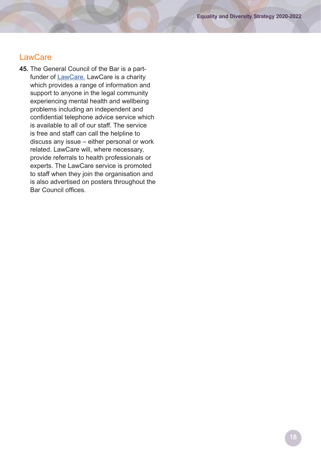#### **LawCare**

**45.** The General Council of the Bar is a partfunder of [LawCare.](https://www.lawcare.org.uk/) LawCare is a charity which provides a range of information and support to anyone in the legal community experiencing mental health and wellbeing problems including an independent and confidential telephone advice service which is available to all of our staff. The service is free and staff can call the helpline to discuss any issue – either personal or work related. LawCare will, where necessary, provide referrals to health professionals or experts. The LawCare service is promoted to staff when they join the organisation and is also advertised on posters throughout the Bar Council offices.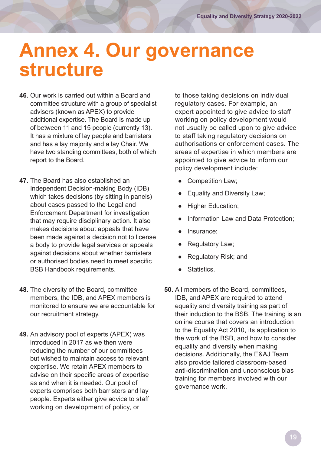## <span id="page-18-0"></span>**Annex 4. Our governance structure**

- **46.** Our work is carried out within a Board and committee structure with a group of specialist advisers (known as APEX) to provide additional expertise. The Board is made up of between 11 and 15 people (currently 13). It has a mixture of lay people and barristers and has a lay majority and a lay Chair. We have two standing committees, both of which report to the Board.
- **47.** The Board has also established an Independent Decision-making Body (IDB) which takes decisions (by sitting in panels) about cases passed to the Legal and Enforcement Department for investigation that may require disciplinary action. It also makes decisions about appeals that have been made against a decision not to license a body to provide legal services or appeals against decisions about whether barristers or authorised bodies need to meet specific BSB Handbook requirements.
- **48.** The diversity of the Board, committee members, the IDB, and APEX members is monitored to ensure we are accountable for our recruitment strategy.
- **49.** An advisory pool of experts (APEX) was introduced in 2017 as we then were reducing the number of our committees but wished to maintain access to relevant expertise. We retain APEX members to advise on their specific areas of expertise as and when it is needed. Our pool of experts comprises both barristers and lay people. Experts either give advice to staff working on development of policy, or

to those taking decisions on individual regulatory cases. For example, an expert appointed to give advice to staff working on policy development would not usually be called upon to give advice to staff taking regulatory decisions on authorisations or enforcement cases. The areas of expertise in which members are appointed to give advice to inform our policy development include:

- Competition Law;
- Equality and Diversity Law;
- **Higher Education;**
- Information Law and Data Protection;
- Insurance;
- Regulatory Law;
- Regulatory Risk; and
- Statistics.
- **50.** All members of the Board, committees, IDB, and APEX are required to attend equality and diversity training as part of their induction to the BSB. The training is an online course that covers an introduction to the Equality Act 2010, its application to the work of the BSB, and how to consider equality and diversity when making decisions. Additionally, the E&AJ Team also provide tailored classroom-based anti-discrimination and unconscious bias training for members involved with our governance work.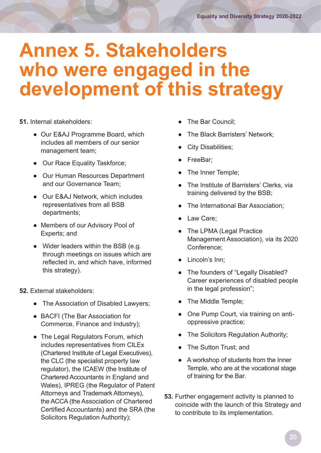## <span id="page-19-0"></span>**Annex 5. Stakeholders who were engaged in the development of this strategy**

**51.** Internal stakeholders:

- Our E&AJ Programme Board, which includes all members of our senior management team;
- Our Race Equality Taskforce;
- Our Human Resources Department and our Governance Team;
- Our E&AJ Network, which includes representatives from all BSB departments;
- Members of our Advisory Pool of Experts; and
- Wider leaders within the BSB (e.g. through meetings on issues which are reflected in, and which have, informed this strategy).
- **52.** External stakeholders:
	- The Association of Disabled Lawyers;
	- BACFI (The Bar Association for Commerce, Finance and Industry);
	- The Legal Regulators Forum, which includes representatives from CILEx (Chartered Institute of Legal Executives), the CLC (the specialist property law regulator), the ICAEW (the Institute of Chartered Accountants in England and Wales), IPREG (the Regulator of Patent Attorneys and Trademark Attorneys), the ACCA (the Association of Chartered Certified Accountants) and the SRA (the Solicitors Regulation Authority);
- The Bar Council:
- The Black Barristers' Network;
- **City Disabilities;**
- FreeBar;
- The Inner Temple;
- The Institute of Barristers' Clerks, via training delivered by the BSB;
- The International Bar Association;
- Law Care;
- The LPMA (Legal Practice Management Association), via its 2020 Conference;
- Lincoln's Inn;
- The founders of "Legally Disabled? Career experiences of disabled people in the legal profession";
- The Middle Temple;
- One Pump Court, via training on antioppressive practice;
- The Solicitors Regulation Authority;
- The Sutton Trust; and
- A workshop of students from the Inner Temple, who are at the vocational stage of training for the Bar.
- **53.** Further engagement activity is planned to coincide with the launch of this Strategy and to contribute to its implementation.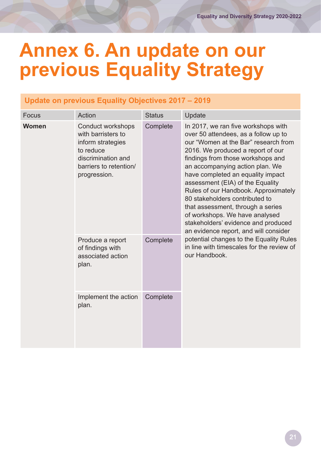## <span id="page-20-0"></span>**Annex 6. An update on our previous Equality Strategy**

### **Update on previous Equality Objectives 2017 – 2019**

| <b>Focus</b> | Action                                                                                                                                    | <b>Status</b> | Update                                                                                                                                                                                                                                                                                                                                                                                                                                                                                                                                     |
|--------------|-------------------------------------------------------------------------------------------------------------------------------------------|---------------|--------------------------------------------------------------------------------------------------------------------------------------------------------------------------------------------------------------------------------------------------------------------------------------------------------------------------------------------------------------------------------------------------------------------------------------------------------------------------------------------------------------------------------------------|
| <b>Women</b> | Conduct workshops<br>with barristers to<br>inform strategies<br>to reduce<br>discrimination and<br>barriers to retention/<br>progression. | Complete      | In 2017, we ran five workshops with<br>over 50 attendees, as a follow up to<br>our "Women at the Bar" research from<br>2016. We produced a report of our<br>findings from those workshops and<br>an accompanying action plan. We<br>have completed an equality impact<br>assessment (EIA) of the Equality<br>Rules of our Handbook. Approximately<br>80 stakeholders contributed to<br>that assessment, through a series<br>of workshops. We have analysed<br>stakeholders' evidence and produced<br>an evidence report, and will consider |
|              | Produce a report<br>of findings with<br>associated action<br>plan.                                                                        | Complete      | potential changes to the Equality Rules<br>in line with timescales for the review of<br>our Handbook.                                                                                                                                                                                                                                                                                                                                                                                                                                      |
|              | Implement the action<br>plan.                                                                                                             | Complete      |                                                                                                                                                                                                                                                                                                                                                                                                                                                                                                                                            |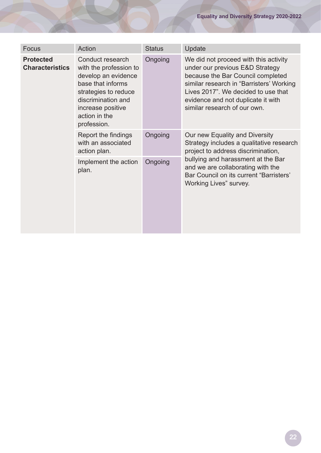| Focus                                      | Action                                                                                                                                                                                    | <b>Status</b> | Update                                                                                                                                                                                                                                                                 |
|--------------------------------------------|-------------------------------------------------------------------------------------------------------------------------------------------------------------------------------------------|---------------|------------------------------------------------------------------------------------------------------------------------------------------------------------------------------------------------------------------------------------------------------------------------|
| <b>Protected</b><br><b>Characteristics</b> | Conduct research<br>with the profession to<br>develop an evidence<br>base that informs<br>strategies to reduce<br>discrimination and<br>increase positive<br>action in the<br>profession. | Ongoing       | We did not proceed with this activity<br>under our previous E&D Strategy<br>because the Bar Council completed<br>similar research in "Barristers' Working<br>Lives 2017". We decided to use that<br>evidence and not duplicate it with<br>similar research of our own. |
|                                            | Report the findings<br>with an associated<br>action plan.                                                                                                                                 | Ongoing       | Our new Equality and Diversity<br>Strategy includes a qualitative research<br>project to address discrimination,                                                                                                                                                       |
|                                            | Implement the action<br>plan.                                                                                                                                                             | Ongoing       | bullying and harassment at the Bar<br>and we are collaborating with the<br>Bar Council on its current "Barristers"<br>Working Lives" survey.                                                                                                                           |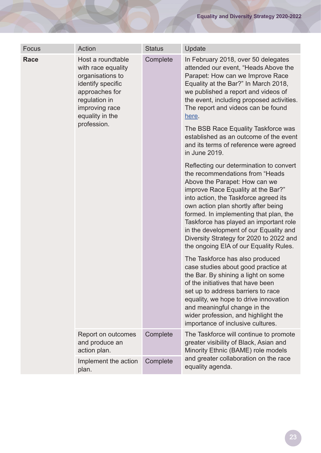| <b>Focus</b> | Action                                                                                                                                                                  | <b>Status</b> | Update                                                                                                                                                                                                                                                                                                                                                                                                                                                |
|--------------|-------------------------------------------------------------------------------------------------------------------------------------------------------------------------|---------------|-------------------------------------------------------------------------------------------------------------------------------------------------------------------------------------------------------------------------------------------------------------------------------------------------------------------------------------------------------------------------------------------------------------------------------------------------------|
| <b>Race</b>  | Host a roundtable<br>with race equality<br>organisations to<br>identify specific<br>approaches for<br>regulation in<br>improving race<br>equality in the<br>profession. | Complete      | In February 2018, over 50 delegates<br>attended our event, "Heads Above the<br>Parapet: How can we Improve Race<br>Equality at the Bar?" In March 2018,<br>we published a report and videos of<br>the event, including proposed activities.<br>The report and videos can be found<br>here.<br>The BSB Race Equality Taskforce was<br>established as an outcome of the event<br>and its terms of reference were agreed<br>in June 2019.                |
|              |                                                                                                                                                                         |               | Reflecting our determination to convert<br>the recommendations from "Heads"<br>Above the Parapet: How can we<br>improve Race Equality at the Bar?"<br>into action, the Taskforce agreed its<br>own action plan shortly after being<br>formed. In implementing that plan, the<br>Taskforce has played an important role<br>in the development of our Equality and<br>Diversity Strategy for 2020 to 2022 and<br>the ongoing EIA of our Equality Rules. |
|              |                                                                                                                                                                         |               | The Taskforce has also produced<br>case studies about good practice at<br>the Bar. By shining a light on some<br>of the initiatives that have been<br>set up to address barriers to race<br>equality, we hope to drive innovation<br>and meaningful change in the<br>wider profession, and highlight the<br>importance of inclusive cultures.                                                                                                         |
|              | Report on outcomes<br>and produce an<br>action plan.                                                                                                                    | Complete      | The Taskforce will continue to promote<br>greater visibility of Black, Asian and<br>Minority Ethnic (BAME) role models                                                                                                                                                                                                                                                                                                                                |
|              | Implement the action<br>plan.                                                                                                                                           | Complete      | and greater collaboration on the race<br>equality agenda.                                                                                                                                                                                                                                                                                                                                                                                             |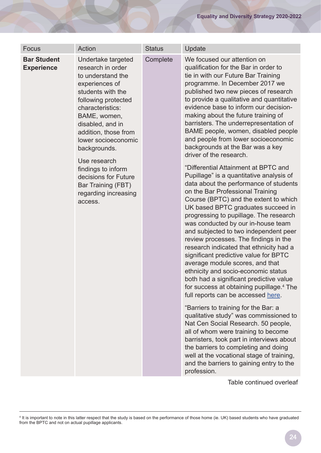| Focus                                                                                                               | Action                                                                                                                                                                                                                                            | <b>Status</b>                                                                                                                                                                                                                                                                                                                                                                                                                                                                                                                                                                                                                                                                                                          | Update                                                                                                                                                                                                                                                                                                                                                                                                                                                                                                    |
|---------------------------------------------------------------------------------------------------------------------|---------------------------------------------------------------------------------------------------------------------------------------------------------------------------------------------------------------------------------------------------|------------------------------------------------------------------------------------------------------------------------------------------------------------------------------------------------------------------------------------------------------------------------------------------------------------------------------------------------------------------------------------------------------------------------------------------------------------------------------------------------------------------------------------------------------------------------------------------------------------------------------------------------------------------------------------------------------------------------|-----------------------------------------------------------------------------------------------------------------------------------------------------------------------------------------------------------------------------------------------------------------------------------------------------------------------------------------------------------------------------------------------------------------------------------------------------------------------------------------------------------|
| <b>Bar Student</b><br><b>Experience</b>                                                                             | Undertake targeted<br>research in order<br>to understand the<br>experiences of<br>students with the<br>following protected<br>characteristics:<br>BAME, women,<br>disabled, and in<br>addition, those from<br>lower socioeconomic<br>backgrounds. | Complete                                                                                                                                                                                                                                                                                                                                                                                                                                                                                                                                                                                                                                                                                                               | We focused our attention on<br>qualification for the Bar in order to<br>tie in with our Future Bar Training<br>programme. In December 2017 we<br>published two new pieces of research<br>to provide a qualitative and quantitative<br>evidence base to inform our decision-<br>making about the future training of<br>barristers. The underrepresentation of<br>BAME people, women, disabled people<br>and people from lower socioeconomic<br>backgrounds at the Bar was a key<br>driver of the research. |
| Use research<br>findings to inform<br>decisions for Future<br>Bar Training (FBT)<br>regarding increasing<br>access. |                                                                                                                                                                                                                                                   | "Differential Attainment at BPTC and<br>Pupillage" is a quantitative analysis of<br>data about the performance of students<br>on the Bar Professional Training<br>Course (BPTC) and the extent to which<br>UK based BPTC graduates succeed in<br>progressing to pupillage. The research<br>was conducted by our in-house team<br>and subjected to two independent peer<br>review processes. The findings in the<br>research indicated that ethnicity had a<br>significant predictive value for BPTC<br>average module scores, and that<br>ethnicity and socio-economic status<br>both had a significant predictive value<br>for success at obtaining pupillage. <sup>4</sup> The<br>full reports can be accessed here. |                                                                                                                                                                                                                                                                                                                                                                                                                                                                                                           |
|                                                                                                                     |                                                                                                                                                                                                                                                   | "Barriers to training for the Bar: a<br>qualitative study" was commissioned to<br>Nat Cen Social Research. 50 people,<br>all of whom were training to become<br>barristers, took part in interviews about<br>the barriers to completing and doing<br>well at the vocational stage of training,<br>and the barriers to gaining entry to the<br>profession.                                                                                                                                                                                                                                                                                                                                                              |                                                                                                                                                                                                                                                                                                                                                                                                                                                                                                           |

Table continued overleaf

<sup>4</sup> It is important to note in this latter respect that the study is based on the performance of those home (ie. UK) based students who have graduated from the BPTC and not on actual pupillage applicants.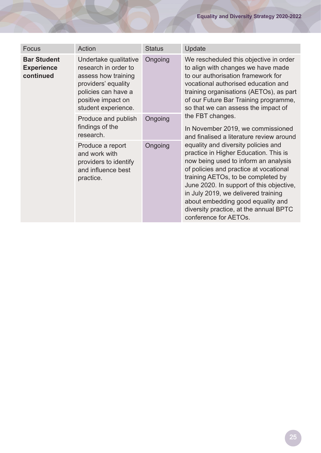| Focus                                                | Action                                                                                                                                                          | <b>Status</b> | Update                                                                                                                                                                                                                                                                                                                                                                                          |
|------------------------------------------------------|-----------------------------------------------------------------------------------------------------------------------------------------------------------------|---------------|-------------------------------------------------------------------------------------------------------------------------------------------------------------------------------------------------------------------------------------------------------------------------------------------------------------------------------------------------------------------------------------------------|
| <b>Bar Student</b><br><b>Experience</b><br>continued | Undertake qualitative<br>research in order to<br>assess how training<br>providers' equality<br>policies can have a<br>positive impact on<br>student experience. | Ongoing       | We rescheduled this objective in order<br>to align with changes we have made<br>to our authorisation framework for<br>vocational authorised education and<br>training organisations (AETOs), as part<br>of our Future Bar Training programme,<br>so that we can assess the impact of                                                                                                            |
|                                                      | Produce and publish<br>findings of the<br>research.                                                                                                             | Ongoing       | the FBT changes.<br>In November 2019, we commissioned<br>and finalised a literature review around                                                                                                                                                                                                                                                                                               |
|                                                      | Produce a report<br>and work with<br>providers to identify<br>and influence best<br>practice.                                                                   | Ongoing       | equality and diversity policies and<br>practice in Higher Education. This is<br>now being used to inform an analysis<br>of policies and practice at vocational<br>training AETOs, to be completed by<br>June 2020. In support of this objective,<br>in July 2019, we delivered training<br>about embedding good equality and<br>diversity practice, at the annual BPTC<br>conference for AETOs. |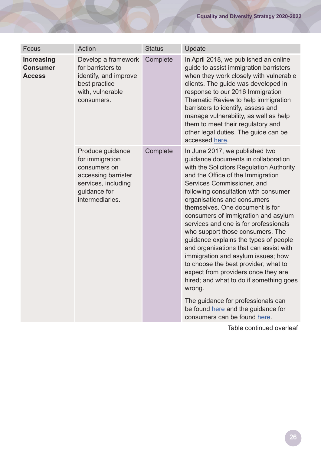| <b>Focus</b>                                          | Action                                                                                                                               | <b>Status</b> | Update                                                                                                                                                                                                                                                                                                                                                                                                                                                                                                                                                                                                                                                                                                                                                                                      |
|-------------------------------------------------------|--------------------------------------------------------------------------------------------------------------------------------------|---------------|---------------------------------------------------------------------------------------------------------------------------------------------------------------------------------------------------------------------------------------------------------------------------------------------------------------------------------------------------------------------------------------------------------------------------------------------------------------------------------------------------------------------------------------------------------------------------------------------------------------------------------------------------------------------------------------------------------------------------------------------------------------------------------------------|
| <b>Increasing</b><br><b>Consumer</b><br><b>Access</b> | Develop a framework<br>for barristers to<br>identify, and improve<br>best practice<br>with, vulnerable<br>consumers.                 | Complete      | In April 2018, we published an online<br>guide to assist immigration barristers<br>when they work closely with vulnerable<br>clients. The guide was developed in<br>response to our 2016 Immigration<br>Thematic Review to help immigration<br>barristers to identify, assess and<br>manage vulnerability, as well as help<br>them to meet their regulatory and<br>other legal duties. The guide can be<br>accessed here.                                                                                                                                                                                                                                                                                                                                                                   |
|                                                       | Produce guidance<br>for immigration<br>consumers on<br>accessing barrister<br>services, including<br>guidance for<br>intermediaries. | Complete      | In June 2017, we published two<br>guidance documents in collaboration<br>with the Solicitors Regulation Authority<br>and the Office of the Immigration<br>Services Commissioner, and<br>following consultation with consumer<br>organisations and consumers<br>themselves. One document is for<br>consumers of immigration and asylum<br>services and one is for professionals<br>who support those consumers. The<br>guidance explains the types of people<br>and organisations that can assist with<br>immigration and asylum issues; how<br>to choose the best provider; what to<br>expect from providers once they are<br>hired; and what to do if something goes<br>wrong.<br>The guidance for professionals can<br>be found here and the guidance for<br>consumers can be found here. |

Table continued overleaf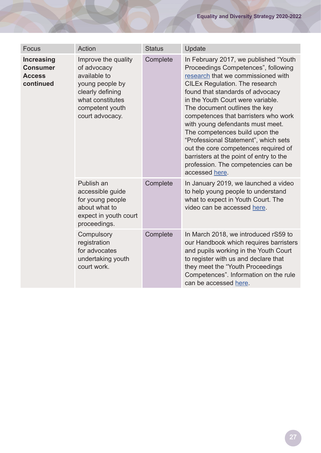| Focus                                                              | Action                                                                                                                                              | <b>Status</b> | Update                                                                                                                                                                                                                                                                                                                                                                                                                                                                                                                                                                  |
|--------------------------------------------------------------------|-----------------------------------------------------------------------------------------------------------------------------------------------------|---------------|-------------------------------------------------------------------------------------------------------------------------------------------------------------------------------------------------------------------------------------------------------------------------------------------------------------------------------------------------------------------------------------------------------------------------------------------------------------------------------------------------------------------------------------------------------------------------|
| <b>Increasing</b><br><b>Consumer</b><br><b>Access</b><br>continued | Improve the quality<br>of advocacy<br>available to<br>young people by<br>clearly defining<br>what constitutes<br>competent youth<br>court advocacy. | Complete      | In February 2017, we published "Youth<br>Proceedings Competences", following<br>research that we commissioned with<br><b>CILEx Regulation. The research</b><br>found that standards of advocacy<br>in the Youth Court were variable.<br>The document outlines the key<br>competences that barristers who work<br>with young defendants must meet.<br>The competences build upon the<br>"Professional Statement", which sets<br>out the core competences required of<br>barristers at the point of entry to the<br>profession. The competencies can be<br>accessed here. |
|                                                                    | Publish an<br>accessible guide<br>for young people<br>about what to<br>expect in youth court<br>proceedings.                                        | Complete      | In January 2019, we launched a video<br>to help young people to understand<br>what to expect in Youth Court. The<br>video can be accessed here.                                                                                                                                                                                                                                                                                                                                                                                                                         |
|                                                                    | Compulsory<br>registration<br>for advocates<br>undertaking youth<br>court work.                                                                     | Complete      | In March 2018, we introduced rS59 to<br>our Handbook which requires barristers<br>and pupils working in the Youth Court<br>to register with us and declare that<br>they meet the "Youth Proceedings<br>Competences". Information on the rule<br>can be accessed here.                                                                                                                                                                                                                                                                                                   |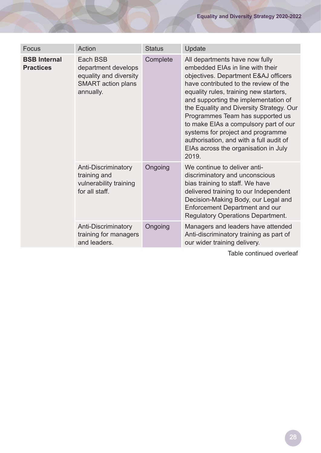| Focus                                   | Action                                                                                              | <b>Status</b> | Update                                                                                                                                                                                                                                                                                                                                                                                                                                                                                          |
|-----------------------------------------|-----------------------------------------------------------------------------------------------------|---------------|-------------------------------------------------------------------------------------------------------------------------------------------------------------------------------------------------------------------------------------------------------------------------------------------------------------------------------------------------------------------------------------------------------------------------------------------------------------------------------------------------|
| <b>BSB Internal</b><br><b>Practices</b> | Each BSB<br>department develops<br>equality and diversity<br><b>SMART</b> action plans<br>annually. | Complete      | All departments have now fully<br>embedded EIAs in line with their<br>objectives. Department E&AJ officers<br>have contributed to the review of the<br>equality rules, training new starters,<br>and supporting the implementation of<br>the Equality and Diversity Strategy. Our<br>Programmes Team has supported us<br>to make EIAs a compulsory part of our<br>systems for project and programme<br>authorisation, and with a full audit of<br>EIAs across the organisation in July<br>2019. |
|                                         | Anti-Discriminatory<br>training and<br>vulnerability training<br>for all staff.                     | Ongoing       | We continue to deliver anti-<br>discriminatory and unconscious<br>bias training to staff. We have<br>delivered training to our Independent<br>Decision-Making Body, our Legal and<br>Enforcement Department and our<br><b>Regulatory Operations Department.</b>                                                                                                                                                                                                                                 |
|                                         | Anti-Discriminatory<br>training for managers<br>and leaders.                                        | Ongoing       | Managers and leaders have attended<br>Anti-discriminatory training as part of<br>our wider training delivery.                                                                                                                                                                                                                                                                                                                                                                                   |

Table continued overleaf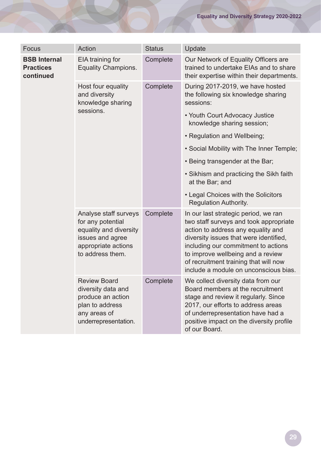| Focus                                                | Action                                                                                                                              | <b>Status</b> | Update                                                                                                                                                                                                                                                                                                                       |
|------------------------------------------------------|-------------------------------------------------------------------------------------------------------------------------------------|---------------|------------------------------------------------------------------------------------------------------------------------------------------------------------------------------------------------------------------------------------------------------------------------------------------------------------------------------|
| <b>BSB Internal</b><br><b>Practices</b><br>continued | EIA training for<br><b>Equality Champions.</b>                                                                                      | Complete      | Our Network of Equality Officers are<br>trained to undertake EIAs and to share<br>their expertise within their departments.                                                                                                                                                                                                  |
|                                                      | Host four equality<br>and diversity<br>knowledge sharing<br>sessions.                                                               | Complete      | During 2017-2019, we have hosted<br>the following six knowledge sharing<br>sessions:                                                                                                                                                                                                                                         |
|                                                      |                                                                                                                                     |               | • Youth Court Advocacy Justice<br>knowledge sharing session;                                                                                                                                                                                                                                                                 |
|                                                      |                                                                                                                                     |               | • Regulation and Wellbeing;                                                                                                                                                                                                                                                                                                  |
|                                                      |                                                                                                                                     |               | • Social Mobility with The Inner Temple;                                                                                                                                                                                                                                                                                     |
|                                                      |                                                                                                                                     |               | • Being transgender at the Bar;                                                                                                                                                                                                                                                                                              |
|                                                      |                                                                                                                                     |               | • Sikhism and practicing the Sikh faith<br>at the Bar; and                                                                                                                                                                                                                                                                   |
|                                                      |                                                                                                                                     |               | • Legal Choices with the Solicitors<br><b>Regulation Authority.</b>                                                                                                                                                                                                                                                          |
|                                                      | Analyse staff surveys<br>for any potential<br>equality and diversity<br>issues and agree<br>appropriate actions<br>to address them. | Complete      | In our last strategic period, we ran<br>two staff surveys and took appropriate<br>action to address any equality and<br>diversity issues that were identified,<br>including our commitment to actions<br>to improve wellbeing and a review<br>of recruitment training that will now<br>include a module on unconscious bias. |
|                                                      | <b>Review Board</b><br>diversity data and<br>produce an action<br>plan to address<br>any areas of<br>underrepresentation.           | Complete      | We collect diversity data from our<br>Board members at the recruitment<br>stage and review it regularly. Since<br>2017, our efforts to address areas<br>of underrepresentation have had a<br>positive impact on the diversity profile<br>of our Board.                                                                       |